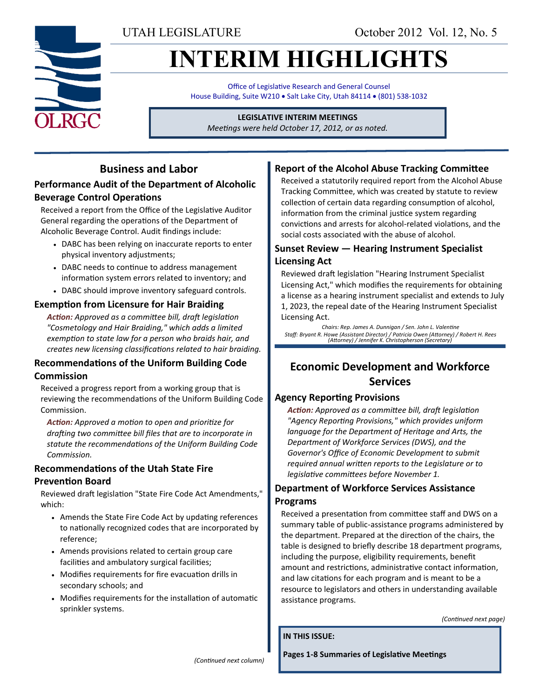UTAH LEGISLATURE October 2012 Vol. 12, No. 5

# **INTERIM HIGHLIGHTS**

Office of Legislative Research and General Counsel House Building, Suite W210 . Salt Lake City, Utah 84114 . (801) 538-1032

#### **LEGISLATIVE INTERIM MEETINGS**

*Meetings were held October 17, 2012, or as noted.*

## **Business and Labor**

### **Performance Audit of the Department of Alcoholic Beverage Control Operations**

Received a report from the Office of the Legislative Auditor General regarding the operations of the Department of Alcoholic Beverage Control. Audit findings include:

- DABC has been relying on inaccurate reports to enter physical inventory adjustments;
- DABC needs to continue to address management information system errors related to inventory; and
- DABC should improve inventory safeguard controls.

#### **Exemption from Licensure for Hair Braiding**

*Action: Approved as a committee bill, draft legislation "Cosmetology and Hair Braiding," which adds a limited exemption to state law for a person who braids hair, and creates new licensing classifications related to hair braiding.*

#### **Recommendations of the Uniform Building Code Commission**

Received a progress report from a working group that is reviewing the recommendations of the Uniform Building Code Commission.

*Action: Approved a motion to open and prioritize for drafting two committee bill files that are to incorporate in statute the recommendations of the Uniform Building Code Commission.*

#### **Recommendations of the Utah State Fire**

#### **Prevention Board**

Reviewed draft legislation "State Fire Code Act Amendments," which:

- Amends the State Fire Code Act by updating references to nationally recognized codes that are incorporated by reference;
- Amends provisions related to certain group care facilities and ambulatory surgical facilities;
- Modifies requirements for fire evacuation drills in secondary schools; and
- Modifies requirements for the installation of automatic sprinkler systems.

#### **Report of the Alcohol Abuse Tracking Committee**

Received a statutorily required report from the Alcohol Abuse Tracking Committee, which was created by statute to review collection of certain data regarding consumption of alcohol, information from the criminal justice system regarding convictions and arrests for alcohol-related violations, and the social costs associated with the abuse of alcohol.

#### **Sunset Review — Hearing Instrument Specialist Licensing Act**

Reviewed draft legislation "Hearing Instrument Specialist Licensing Act," which modifies the requirements for obtaining a license as a hearing instrument specialist and extends to July 1, 2023, the repeal date of the Hearing Instrument Specialist Licensing Act.

*Chairs: Rep. James A. Dunnigan / Sen. John L. Valentine Staff: Bryant R. Howe (Assistant Director) / Patricia Owen (Attorney) / Robert H. Rees (Attorney) / Jennifer K. Christopherson (Secretary)*

## **Economic Development and Workforce Services**

#### **Agency Reporting Provisions**

*Action: Approved as a committee bill, draft legislation "Agency Reporting Provisions," which provides uniform language for the Department of Heritage and Arts, the Department of Workforce Services (DWS), and the Governor's Office of Economic Development to submit required annual written reports to the Legislature or to legislative committees before November 1.*

#### **Department of Workforce Services Assistance Programs**

Received a presentation from committee staff and DWS on a summary table of public-assistance programs administered by the department. Prepared at the direction of the chairs, the table is designed to briefly describe 18 department programs, including the purpose, eligibility requirements, benefit amount and restrictions, administrative contact information, and law citations for each program and is meant to be a resource to legislators and others in understanding available assistance programs.

*(Continued next page)*

**IN THIS ISSUE:**

*(Continued next column)*

**Pages 1-8 Summaries of Legislative Meetings**

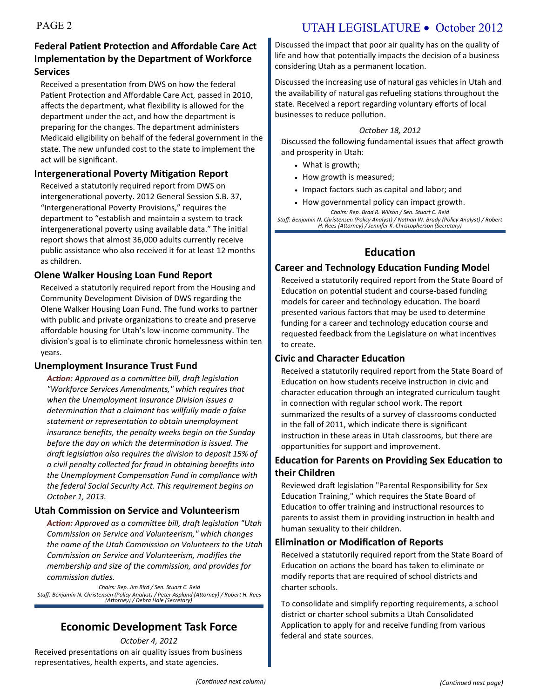## PAGE 2 UTAH LEGISLATURE • October 2012

#### **Federal Patient Protection and Affordable Care Act Implementation by the Department of Workforce Services**

Received a presentation from DWS on how the federal Patient Protection and Affordable Care Act, passed in 2010, affects the department, what flexibility is allowed for the department under the act, and how the department is preparing for the changes. The department administers Medicaid eligibility on behalf of the federal government in the state. The new unfunded cost to the state to implement the act will be significant.

#### **Intergenerational Poverty Mitigation Report**

Received a statutorily required report from DWS on intergenerational poverty. 2012 General Session S.B. 37, "Intergenerational Poverty Provisions," requires the department to "establish and maintain a system to track intergenerational poverty using available data." The initial report shows that almost 36,000 adults currently receive public assistance who also received it for at least 12 months as children.

#### **Olene Walker Housing Loan Fund Report**

Received a statutorily required report from the Housing and Community Development Division of DWS regarding the Olene Walker Housing Loan Fund. The fund works to partner with public and private organizations to create and preserve affordable housing for Utah's low-income community. The division's goal is to eliminate chronic homelessness within ten years.

#### **Unemployment Insurance Trust Fund**

*Action: Approved as a committee bill, draft legislation "Workforce Services Amendments," which requires that when the Unemployment Insurance Division issues a determination that a claimant has willfully made a false statement or representation to obtain unemployment insurance benefits, the penalty weeks begin on the Sunday before the day on which the determination is issued. The draft legislation also requires the division to deposit 15% of a civil penalty collected for fraud in obtaining benefits into the Unemployment Compensation Fund in compliance with the federal Social Security Act. This requirement begins on October 1, 2013.*

#### **Utah Commission on Service and Volunteerism**

*Action: Approved as a committee bill, draft legislation "Utah Commission on Service and Volunteerism," which changes the name of the Utah Commission on Volunteers to the Utah Commission on Service and Volunteerism, modifies the membership and size of the commission, and provides for commission duties.*

*Chairs: Rep. Jim Bird / Sen. Stuart C. Reid Staff: Benjamin N. Christensen (Policy Analyst) / Peter Asplund (Attorney) / Robert H. Rees (Attorney) / Debra Hale (Secretary)*

## **Economic Development Task Force**

*October 4, 2012*

Received presentations on air quality issues from business representatives, health experts, and state agencies.

Discussed the impact that poor air quality has on the quality of life and how that potentially impacts the decision of a business considering Utah as a permanent location.

Discussed the increasing use of natural gas vehicles in Utah and the availability of natural gas refueling stations throughout the state. Received a report regarding voluntary efforts of local businesses to reduce pollution.

#### *October 18, 2012*

Discussed the following fundamental issues that affect growth and prosperity in Utah:

- What is growth;
- How growth is measured;
- Impact factors such as capital and labor; and
- How governmental policy can impact growth. *Chairs: Rep. Brad R. Wilson / Sen. Stuart C. Reid*

*Staff: Benjamin N. Christensen (Policy Analyst) / Nathan W. Brady (Policy Analyst) / Robert H. Rees (Attorney) / Jennifer K. Christopherson (Secretary)*

## **Education**

#### **Career and Technology Education Funding Model**

Received a statutorily required report from the State Board of Education on potential student and course-based funding models for career and technology education. The board presented various factors that may be used to determine funding for a career and technology education course and requested feedback from the Legislature on what incentives to create.

#### **Civic and Character Education**

Received a statutorily required report from the State Board of Education on how students receive instruction in civic and character education through an integrated curriculum taught in connection with regular school work. The report summarized the results of a survey of classrooms conducted in the fall of 2011, which indicate there is significant instruction in these areas in Utah classrooms, but there are opportunities for support and improvement.

#### **Education for Parents on Providing Sex Education to their Children**

Reviewed draft legislation "Parental Responsibility for Sex Education Training," which requires the State Board of Education to offer training and instructional resources to parents to assist them in providing instruction in health and human sexuality to their children.

#### **Elimination or Modification of Reports**

Received a statutorily required report from the State Board of Education on actions the board has taken to eliminate or modify reports that are required of school districts and charter schools.

To consolidate and simplify reporting requirements, a school district or charter school submits a Utah Consolidated Application to apply for and receive funding from various federal and state sources.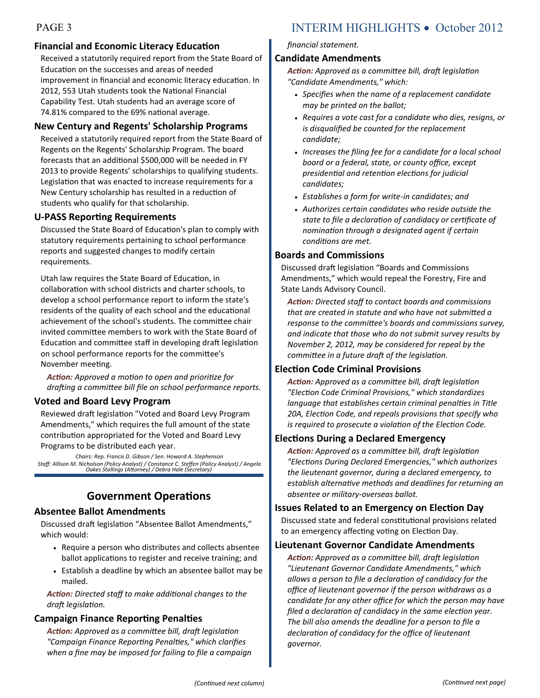#### **Financial and Economic Literacy Education**

Received a statutorily required report from the State Board of Education on the successes and areas of needed improvement in financial and economic literacy education. In 2012, 553 Utah students took the National Financial Capability Test. Utah students had an average score of 74.81% compared to the 69% national average.

#### **New Century and Regents' Scholarship Programs**

Received a statutorily required report from the State Board of Regents on the Regents' Scholarship Program. The board forecasts that an additional \$500,000 will be needed in FY 2013 to provide Regents' scholarships to qualifying students. Legislation that was enacted to increase requirements for a New Century scholarship has resulted in a reduction of students who qualify for that scholarship.

#### **U-PASS Reporting Requirements**

Discussed the State Board of Education's plan to comply with statutory requirements pertaining to school performance reports and suggested changes to modify certain requirements.

Utah law requires the State Board of Education, in collaboration with school districts and charter schools, to develop a school performance report to inform the state's residents of the quality of each school and the educational achievement of the school's students. The committee chair invited committee members to work with the State Board of Education and committee staff in developing draft legislation on school performance reports for the committee's November meeting.

*Action: Approved a motion to open and prioritize for drafting a committee bill file on school performance reports.*

#### **Voted and Board Levy Program**

Reviewed draft legislation "Voted and Board Levy Program Amendments," which requires the full amount of the state contribution appropriated for the Voted and Board Levy Programs to be distributed each year.

*Chairs: Rep. Francis D. Gibson / Sen. Howard A. Stephenson Staff: Allison M. Nicholson (Policy Analyst) / Constance C. Steffen (Policy Analyst) / Angela Oakes Stallings (Attorney) / Debra Hale (Secretary)*

#### **Government Operations**

#### **Absentee Ballot Amendments**

Discussed draft legislation "Absentee Ballot Amendments," which would:

- Require a person who distributes and collects absentee ballot applications to register and receive training; and
- Establish a deadline by which an absentee ballot may be mailed.

*Action: Directed staff to make additional changes to the draft legislation.*

#### **Campaign Finance Reporting Penalties**

*Action: Approved as a committee bill, draft legislation "Campaign Finance Reporting Penalties," which clarifies when a fine may be imposed for failing to file a campaign* 

## PAGE 3 INTERIM HIGHLIGHTS • October 2012

*financial statement.*

#### **Candidate Amendments**

*Action: Approved as a committee bill, draft legislation "Candidate Amendments," which:* 

- *Specifies when the name of a replacement candidate may be printed on the ballot;*
- *Requires a vote cast for a candidate who dies, resigns, or is disqualified be counted for the replacement candidate;*
- *Increases the filing fee for a candidate for a local school board or a federal, state, or county office, except presidential and retention elections for judicial candidates;*
- *Establishes a form for write-in candidates; and*
- *Authorizes certain candidates who reside outside the state to file a declaration of candidacy or certificate of nomination through a designated agent if certain conditions are met.*

#### **Boards and Commissions**

Discussed draft legislation "Boards and Commissions Amendments," which would repeal the Forestry, Fire and State Lands Advisory Council.

*Action: Directed staff to contact boards and commissions that are created in statute and who have not submitted a response to the committee's boards and commissions survey, and indicate that those who do not submit survey results by November 2, 2012, may be considered for repeal by the committee in a future draft of the legislation.*

#### **Election Code Criminal Provisions**

*Action: Approved as a committee bill, draft legislation "Election Code Criminal Provisions," which standardizes language that establishes certain criminal penalties in Title 20A, Election Code, and repeals provisions that specify who is required to prosecute a violation of the Election Code.*

#### **Elections During a Declared Emergency**

*Action: Approved as a committee bill, draft legislation "Elections During Declared Emergencies," which authorizes the lieutenant governor, during a declared emergency, to establish alternative methods and deadlines for returning an absentee or military-overseas ballot.*

#### **Issues Related to an Emergency on Election Day**

Discussed state and federal constitutional provisions related to an emergency affecting voting on Election Day.

#### **Lieutenant Governor Candidate Amendments**

*Action: Approved as a committee bill, draft legislation "Lieutenant Governor Candidate Amendments," which allows a person to file a declaration of candidacy for the office of lieutenant governor if the person withdraws as a candidate for any other office for which the person may have filed a declaration of candidacy in the same election year. The bill also amends the deadline for a person to file a declaration of candidacy for the office of lieutenant governor.*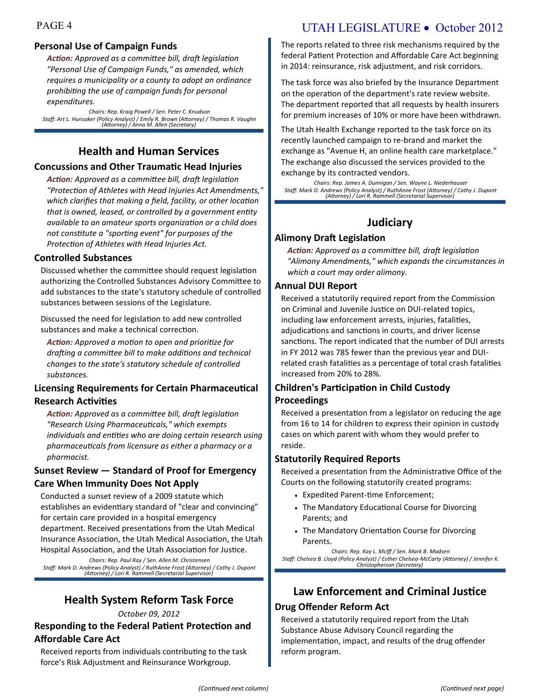#### **Personal Use of Campaign Funds**

*Action: Approved as a committee bill, draft legislation "Personal Use of Campaign Funds," as amended, which requires a municipality or a county to adopt an ordinance prohibiting the use of campaign funds for personal expenditures.*

*Chairs: Rep. Kraig Powell / Sen. Peter C. Knudson Staff: Art L. Hunsaker (Policy Analyst) / Emily R. Brown (Attorney) / Thomas R. Vaughn (Attorney) / Anna M. Allen (Secretary)*

## **Health and Human Services**

#### **Concussions and Other Traumatic Head Injuries**

*Action: Approved as a committee bill, draft legislation "Protection of Athletes with Head Injuries Act Amendments," which clarifies that making a field, facility, or other location that is owned, leased, or controlled by a government entity available to an amateur sports organization or a child does not constitute a "sporting event" for purposes of the Protection of Athletes with Head Injuries Act.*

#### **Controlled Substances**

Discussed whether the committee should request legislation authorizing the Controlled Substances Advisory Committee to add substances to the state's statutory schedule of controlled substances between sessions of the Legislature.

Discussed the need for legislation to add new controlled substances and make a technical correction.

*Action: Approved a motion to open and prioritize for drafting a committee bill to make additions and technical changes to the state's statutory schedule of controlled substances.*

#### **Licensing Requirements for Certain Pharmaceutical Research Activities**

*Action: Approved as a committee bill, draft legislation "Research Using Pharmaceuticals," which exempts individuals and entities who are doing certain research using pharmaceuticals from licensure as either a pharmacy or a pharmacist.*

#### **Sunset Review — Standard of Proof for Emergency Care When Immunity Does Not Apply**

Conducted a sunset review of a 2009 statute which establishes an evidentiary standard of "clear and convincing" for certain care provided in a hospital emergency department. Received presentations from the Utah Medical Insurance Association, the Utah Medical Association, the Utah Hospital Association, and the Utah Association for Justice.

*Chairs: Rep. Paul Ray / Sen. Allen M. Christensen Staff: Mark D. Andrews (Policy Analyst) / RuthAnne Frost (Attorney) / Cathy J. Dupont (Attorney) / Lori R. Rammell (Secretarial Supervisor)*

## **Health System Reform Task Force**

#### *October 09, 2012*

#### **Responding to the Federal Patient Protection and Affordable Care Act**

Received reports from individuals contributing to the task force's Risk Adjustment and Reinsurance Workgroup.

## PAGE 4 UTAH LEGISLATURE • October 2012

The reports related to three risk mechanisms required by the federal Patient Protection and Affordable Care Act beginning in 2014: reinsurance, risk adjustment, and risk corridors.

The task force was also briefed by the Insurance Department on the operation of the department's rate review website. The department reported that all requests by health insurers for premium increases of 10% or more have been withdrawn.

The Utah Health Exchange reported to the task force on its recently launched campaign to re-brand and market the exchange as "Avenue H, an online health care marketplace." The exchange also discussed the services provided to the exchange by its contracted vendors.

*Chairs: Rep. James A. Dunnigan / Sen. Wayne L. Niederhauser Staff: Mark D. Andrews (Policy Analyst) / RuthAnne Frost (Attorney) / Cathy J. Dupont (Attorney) / Lori R. Rammell (Secretarial Supervisor)*

## **Judiciary**

#### **Alimony Draft Legislation**

*Action: Approved as a committee bill, draft legislation "Alimony Amendments," which expands the circumstances in which a court may order alimony.*

#### **Annual DUI Report**

Received a statutorily required report from the Commission on Criminal and Juvenile Justice on DUI-related topics, including law enforcement arrests, injuries, fatalities, adjudications and sanctions in courts, and driver license sanctions. The report indicated that the number of DUI arrests in FY 2012 was 785 fewer than the previous year and DUIrelated crash fatalities as a percentage of total crash fatalities increased from 20% to 28%.

#### **Children's Participation in Child Custody Proceedings**

Received a presentation from a legislator on reducing the age from 16 to 14 for children to express their opinion in custody cases on which parent with whom they would prefer to reside.

#### **Statutorily Required Reports**

Received a presentation from the Administrative Office of the Courts on the following statutorily created programs:

- Expedited Parent-time Enforcement;
- The Mandatory Educational Course for Divorcing Parents; and
- The Mandatory Orientation Course for Divorcing **Parents**

*Chairs: Rep. Kay L. McIff / Sen. Mark B. Madsen Staff: Chelsea B. Lloyd (Policy Analyst) / Esther Chelsea-McCarty (Attorney) / Jennifer K. Christopherson (Secretary)*

## **Law Enforcement and Criminal Justice**

#### **Drug Offender Reform Act**

Received a statutorily required report from the Utah Substance Abuse Advisory Council regarding the implementation, impact, and results of the drug offender reform program.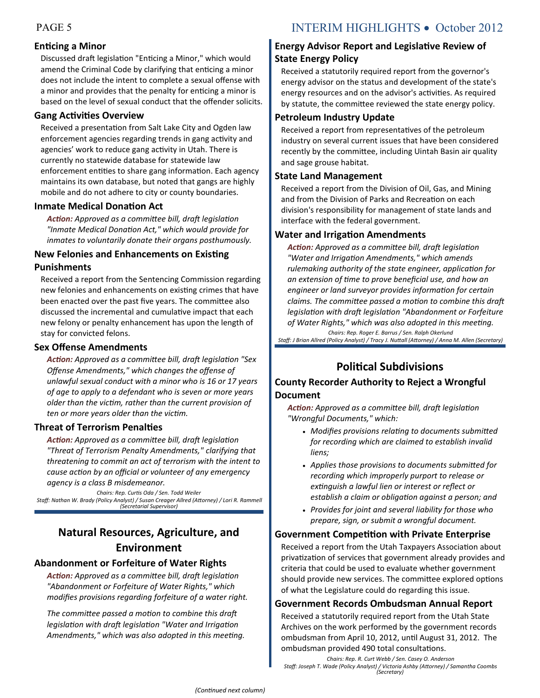#### **Enticing a Minor**

Discussed draft legislation "Enticing a Minor," which would amend the Criminal Code by clarifying that enticing a minor does not include the intent to complete a sexual offense with a minor and provides that the penalty for enticing a minor is based on the level of sexual conduct that the offender solicits.

#### **Gang Activities Overview**

Received a presentation from Salt Lake City and Ogden law enforcement agencies regarding trends in gang activity and agencies' work to reduce gang activity in Utah. There is currently no statewide database for statewide law enforcement entities to share gang information. Each agency maintains its own database, but noted that gangs are highly mobile and do not adhere to city or county boundaries.

#### **Inmate Medical Donation Act**

*Action: Approved as a committee bill, draft legislation "Inmate Medical Donation Act," which would provide for inmates to voluntarily donate their organs posthumously.*

#### **New Felonies and Enhancements on Existing Punishments**

Received a report from the Sentencing Commission regarding new felonies and enhancements on existing crimes that have been enacted over the past five years. The committee also discussed the incremental and cumulative impact that each new felony or penalty enhancement has upon the length of stay for convicted felons.

#### **Sex Offense Amendments**

*Action: Approved as a committee bill, draft legislation "Sex Offense Amendments," which changes the offense of unlawful sexual conduct with a minor who is 16 or 17 years of age to apply to a defendant who is seven or more years older than the victim, rather than the current provision of ten or more years older than the victim.*

#### **Threat of Terrorism Penalties**

*Action: Approved as a committee bill, draft legislation "Threat of Terrorism Penalty Amendments," clarifying that threatening to commit an act of terrorism with the intent to cause action by an official or volunteer of any emergency agency is a class B misdemeanor.*

*Chairs: Rep. Curtis Oda / Sen. Todd Weiler Staff: Nathan W. Brady (Policy Analyst) / Susan Creager Allred (Attorney) / Lori R. Rammell (Secretarial Supervisor)*

## **Natural Resources, Agriculture, and Environment**

#### **Abandonment or Forfeiture of Water Rights**

*Action: Approved as a committee bill, draft legislation "Abandonment or Forfeiture of Water Rights," which modifies provisions regarding forfeiture of a water right.* 

*The committee passed a motion to combine this draft legislation with draft legislation "Water and Irrigation Amendments," which was also adopted in this meeting.*

#### **Energy Advisor Report and Legislative Review of State Energy Policy**

Received a statutorily required report from the governor's energy advisor on the status and development of the state's energy resources and on the advisor's activities. As required by statute, the committee reviewed the state energy policy.

#### **Petroleum Industry Update**

Received a report from representatives of the petroleum industry on several current issues that have been considered recently by the committee, including Uintah Basin air quality and sage grouse habitat.

#### **State Land Management**

Received a report from the Division of Oil, Gas, and Mining and from the Division of Parks and Recreation on each division's responsibility for management of state lands and interface with the federal government.

#### **Water and Irrigation Amendments**

*Action: Approved as a committee bill, draft legislation "Water and Irrigation Amendments," which amends rulemaking authority of the state engineer, application for an extension of time to prove beneficial use, and how an engineer or land surveyor provides information for certain claims. The committee passed a motion to combine this draft legislation with draft legislation "Abandonment or Forfeiture of Water Rights," which was also adopted in this meeting. Chairs: Rep. Roger E. Barrus / Sen. Ralph Okerlund*

*Staff: J Brian Allred (Policy Analyst) / Tracy J. Nuttall (Attorney) / Anna M. Allen (Secretary)*

## **Political Subdivisions**

#### **County Recorder Authority to Reject a Wrongful Document**

*Action: Approved as a committee bill, draft legislation "Wrongful Documents," which:*

- *Modifies provisions relating to documents submitted for recording which are claimed to establish invalid liens;*
- *Applies those provisions to documents submitted for recording which improperly purport to release or extinguish a lawful lien or interest or reflect or establish a claim or obligation against a person; and*
- *Provides for joint and several liability for those who prepare, sign, or submit a wrongful document.*

#### **Government Competition with Private Enterprise**

Received a report from the Utah Taxpayers Association about privatization of services that government already provides and criteria that could be used to evaluate whether government should provide new services. The committee explored options of what the Legislature could do regarding this issue.

#### **Government Records Ombudsman Annual Report**

Received a statutorily required report from the Utah State Archives on the work performed by the government records ombudsman from April 10, 2012, until August 31, 2012. The ombudsman provided 490 total consultations.

*Chairs: Rep. R. Curt Webb / Sen. Casey O. Anderson Staff: Joseph T. Wade (Policy Analyst) / Victoria Ashby (Attorney) / Samantha Coombs (Secretary)*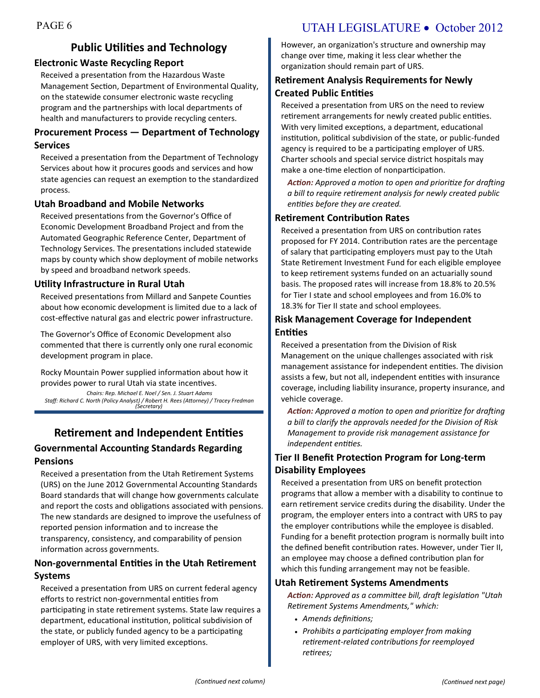## **Public Utilities and Technology**

#### **Electronic Waste Recycling Report**

Received a presentation from the Hazardous Waste Management Section, Department of Environmental Quality, on the statewide consumer electronic waste recycling program and the partnerships with local departments of health and manufacturers to provide recycling centers.

#### **Procurement Process — Department of Technology Services**

Received a presentation from the Department of Technology Services about how it procures goods and services and how state agencies can request an exemption to the standardized process.

#### **Utah Broadband and Mobile Networks**

Received presentations from the Governor's Office of Economic Development Broadband Project and from the Automated Geographic Reference Center, Department of Technology Services. The presentations included statewide maps by county which show deployment of mobile networks by speed and broadband network speeds.

#### **Utility Infrastructure in Rural Utah**

Received presentations from Millard and Sanpete Counties about how economic development is limited due to a lack of cost-effective natural gas and electric power infrastructure.

The Governor's Office of Economic Development also commented that there is currently only one rural economic development program in place.

Rocky Mountain Power supplied information about how it provides power to rural Utah via state incentives.

*Chairs: Rep. Michael E. Noel / Sen. J. Stuart Adams Staff: Richard C. North (Policy Analyst) / Robert H. Rees (Attorney) / Tracey Fredman (Secretary)*

## **Retirement and Independent Entities Governmental Accounting Standards Regarding Pensions**

Received a presentation from the Utah Retirement Systems (URS) on the June 2012 Governmental Accounting Standards Board standards that will change how governments calculate and report the costs and obligations associated with pensions. The new standards are designed to improve the usefulness of reported pension information and to increase the transparency, consistency, and comparability of pension information across governments.

#### **Non-governmental Entities in the Utah Retirement Systems**

Received a presentation from URS on current federal agency efforts to restrict non-governmental entities from participating in state retirement systems. State law requires a department, educational institution, political subdivision of the state, or publicly funded agency to be a participating employer of URS, with very limited exceptions.

## PAGE 6 UTAH LEGISLATURE • October 2012

However, an organization's structure and ownership may change over time, making it less clear whether the organization should remain part of URS.

### **Retirement Analysis Requirements for Newly Created Public Entities**

Received a presentation from URS on the need to review retirement arrangements for newly created public entities. With very limited exceptions, a department, educational institution, political subdivision of the state, or public-funded agency is required to be a participating employer of URS. Charter schools and special service district hospitals may make a one-time election of nonparticipation.

*Action: Approved a motion to open and prioritize for drafting a bill to require retirement analysis for newly created public entities before they are created.*

#### **Retirement Contribution Rates**

Received a presentation from URS on contribution rates proposed for FY 2014. Contribution rates are the percentage of salary that participating employers must pay to the Utah State Retirement Investment Fund for each eligible employee to keep retirement systems funded on an actuarially sound basis. The proposed rates will increase from 18.8% to 20.5% for Tier I state and school employees and from 16.0% to 18.3% for Tier II state and school employees.

#### **Risk Management Coverage for Independent Entities**

Received a presentation from the Division of Risk Management on the unique challenges associated with risk management assistance for independent entities. The division assists a few, but not all, independent entities with insurance coverage, including liability insurance, property insurance, and vehicle coverage.

*Action: Approved a motion to open and prioritize for drafting a bill to clarify the approvals needed for the Division of Risk Management to provide risk management assistance for independent entities.*

### **Tier II Benefit Protection Program for Long-term Disability Employees**

Received a presentation from URS on benefit protection programs that allow a member with a disability to continue to earn retirement service credits during the disability. Under the program, the employer enters into a contract with URS to pay the employer contributions while the employee is disabled. Funding for a benefit protection program is normally built into the defined benefit contribution rates. However, under Tier II, an employee may choose a defined contribution plan for which this funding arrangement may not be feasible.

#### **Utah Retirement Systems Amendments**

*Action: Approved as a committee bill, draft legislation "Utah Retirement Systems Amendments," which:* 

- *Amends definitions;*
- *Prohibits a participating employer from making retirement-related contributions for reemployed retirees;*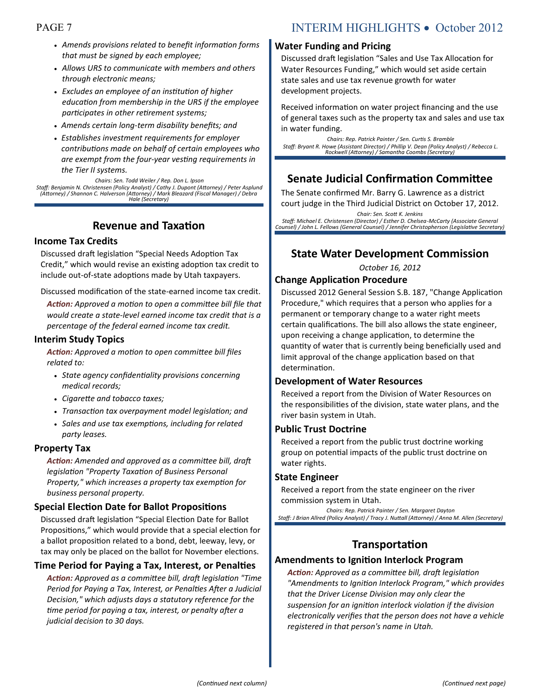- *Amends provisions related to benefit information forms that must be signed by each employee;*
- *Allows URS to communicate with members and others through electronic means;*
- *Excludes an employee of an institution of higher education from membership in the URS if the employee participates in other retirement systems;*
- *Amends certain long-term disability benefits; and*
- *Establishes investment requirements for employer contributions made on behalf of certain employees who are exempt from the four-year vesting requirements in the Tier II systems.*

*Chairs: Sen. Todd Weiler / Rep. Don L. Ipson Staff: Benjamin N. Christensen (Policy Analyst) / Cathy J. Dupont (Attorney) / Peter Asplund (Attorney) / Shannon C. Halverson (Attorney) / Mark Bleazard (Fiscal Manager) / Debra Hale (Secretary)*

## **Revenue and Taxation**

#### **Income Tax Credits**

Discussed draft legislation "Special Needs Adoption Tax Credit," which would revise an existing adoption tax credit to include out-of-state adoptions made by Utah taxpayers.

Discussed modification of the state-earned income tax credit.

*Action: Approved a motion to open a committee bill file that would create a state-level earned income tax credit that is a percentage of the federal earned income tax credit.*

#### **Interim Study Topics**

*Action: Approved a motion to open committee bill files related to:* 

- *State agency confidentiality provisions concerning medical records;*
- *Cigarette and tobacco taxes;*
- *Transaction tax overpayment model legislation; and*
- *Sales and use tax exemptions, including for related party leases.*

#### **Property Tax**

*Action: Amended and approved as a committee bill, draft legislation "Property Taxation of Business Personal Property," which increases a property tax exemption for business personal property.*

#### **Special Election Date for Ballot Propositions**

Discussed draft legislation "Special Election Date for Ballot Propositions," which would provide that a special election for a ballot proposition related to a bond, debt, leeway, levy, or tax may only be placed on the ballot for November elections.

#### **Time Period for Paying a Tax, Interest, or Penalties**

*Action: Approved as a committee bill, draft legislation "Time Period for Paying a Tax, Interest, or Penalties After a Judicial Decision," which adjusts days a statutory reference for the time period for paying a tax, interest, or penalty after a judicial decision to 30 days.*

## PAGE 7 INTERIM HIGHLIGHTS • October 2012

#### **Water Funding and Pricing**

Discussed draft legislation "Sales and Use Tax Allocation for Water Resources Funding," which would set aside certain state sales and use tax revenue growth for water development projects.

Received information on water project financing and the use of general taxes such as the property tax and sales and use tax in water funding.

*Chairs: Rep. Patrick Painter / Sen. Curtis S. Bramble Staff: Bryant R. Howe (Assistant Director) / Phillip V. Dean (Policy Analyst) / Rebecca L. Rockwell (Attorney) / Samantha Coombs (Secretary)*

### **Senate Judicial Confirmation Committee**

The Senate confirmed Mr. Barry G. Lawrence as a district court judge in the Third Judicial District on October 17, 2012.

*Chair: Sen. Scott K. Jenkins Staff: Michael E. Christensen (Director) / Esther D. Chelsea-McCarty (Associate General Counsel) / John L. Fellows (General Counsel) / Jennifer Christopherson (Legislative Secretary)*

### **State Water Development Commission**

*October 16, 2012*

#### **Change Application Procedure**

Discussed 2012 General Session S.B. 187, "Change Application Procedure," which requires that a person who applies for a permanent or temporary change to a water right meets certain qualifications. The bill also allows the state engineer, upon receiving a change application, to determine the quantity of water that is currently being beneficially used and limit approval of the change application based on that determination.

#### **Development of Water Resources**

Received a report from the Division of Water Resources on the responsibilities of the division, state water plans, and the river basin system in Utah.

#### **Public Trust Doctrine**

Received a report from the public trust doctrine working group on potential impacts of the public trust doctrine on water rights.

#### **State Engineer**

Received a report from the state engineer on the river commission system in Utah.

*Chairs: Rep. Patrick Painter / Sen. Margaret Dayton Staff: J Brian Allred (Policy Analyst) / Tracy J. Nuttall (Attorney) / Anna M. Allen (Secretary)*

## **Transportation**

#### **Amendments to Ignition Interlock Program**

*Action: Approved as a committee bill, draft legislation "Amendments to Ignition Interlock Program," which provides that the Driver License Division may only clear the suspension for an ignition interlock violation if the division electronically verifies that the person does not have a vehicle registered in that person's name in Utah.*